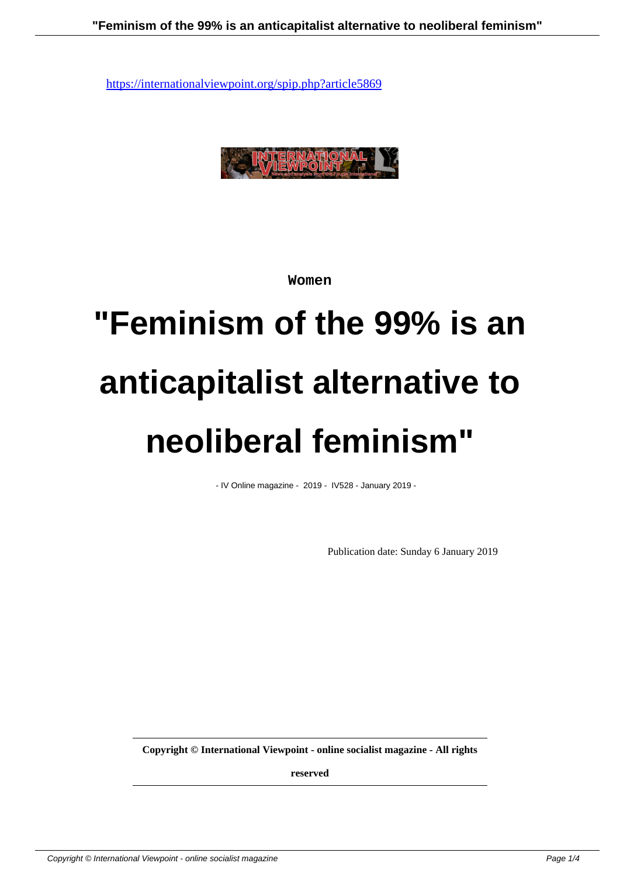

**Women**

# **"Feminism of the 99% is an anticapitalist alternative to neoliberal feminism"**

- IV Online magazine - 2019 - IV528 - January 2019 -

Publication date: Sunday 6 January 2019

**Copyright © International Viewpoint - online socialist magazine - All rights**

**reserved**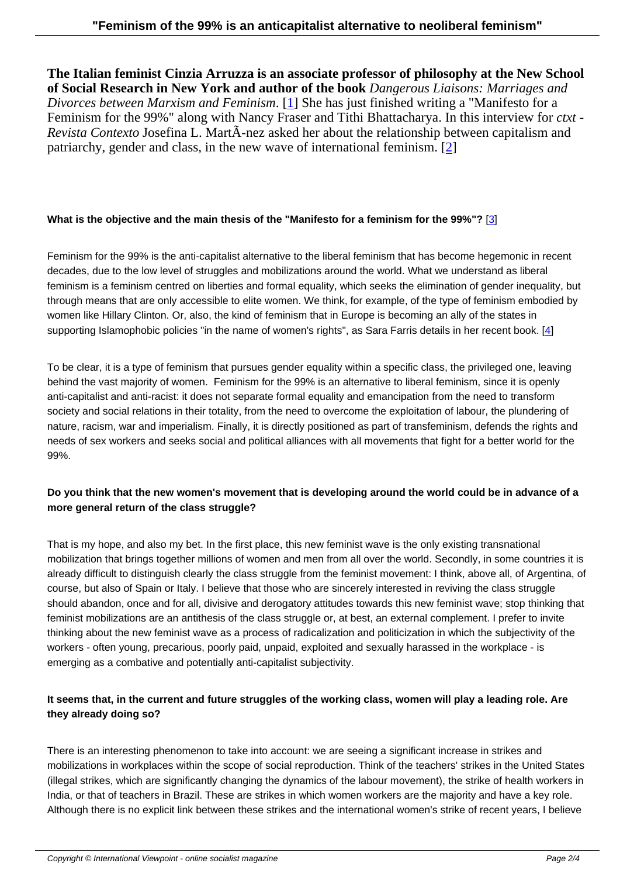**The Italian feminist Cinzia Arruzza is an associate professor of philosophy at the New School of Social Research in New York and author of the book** *Dangerous Liaisons: Marriages and Divorces between Marxism and Feminism*. [1] She has just finished writing a "Manifesto for a Feminism for the 99%" along with Nancy Fraser and Tithi Bhattacharya. In this interview for *ctxt - Revista Contexto* Josefina L. MartÃ-nez asked her about the relationship between capitalism and patriarchy, gender and class, in the new wa[ve](#nb1) of international feminism. [2]

#### **What is the objective and the main thesis of the "Manifesto for a feminism for the 99%"?** [3]

Feminism for the 99% is the anti-capitalist alternative to the liberal feminism that has become hegemonic in recent decades, due to the low level of struggles and mobilizations around the world. What we underst[an](#nb3)d as liberal feminism is a feminism centred on liberties and formal equality, which seeks the elimination of gender inequality, but through means that are only accessible to elite women. We think, for example, of the type of feminism embodied by women like Hillary Clinton. Or, also, the kind of feminism that in Europe is becoming an ally of the states in supporting Islamophobic policies "in the name of women's rights", as Sara Farris details in her recent book. [4]

To be clear, it is a type of feminism that pursues gender equality within a specific class, the privileged one, leaving behind the vast majority of women. Feminism for the 99% is an alternative to liberal feminism, since it is op[en](#nb4)ly anti-capitalist and anti-racist: it does not separate formal equality and emancipation from the need to transform society and social relations in their totality, from the need to overcome the exploitation of labour, the plundering of nature, racism, war and imperialism. Finally, it is directly positioned as part of transfeminism, defends the rights and needs of sex workers and seeks social and political alliances with all movements that fight for a better world for the 99%.

# **Do you think that the new women's movement that is developing around the world could be in advance of a more general return of the class struggle?**

That is my hope, and also my bet. In the first place, this new feminist wave is the only existing transnational mobilization that brings together millions of women and men from all over the world. Secondly, in some countries it is already difficult to distinguish clearly the class struggle from the feminist movement: I think, above all, of Argentina, of course, but also of Spain or Italy. I believe that those who are sincerely interested in reviving the class struggle should abandon, once and for all, divisive and derogatory attitudes towards this new feminist wave; stop thinking that feminist mobilizations are an antithesis of the class struggle or, at best, an external complement. I prefer to invite thinking about the new feminist wave as a process of radicalization and politicization in which the subjectivity of the workers - often young, precarious, poorly paid, unpaid, exploited and sexually harassed in the workplace - is emerging as a combative and potentially anti-capitalist subjectivity.

## **It seems that, in the current and future struggles of the working class, women will play a leading role. Are they already doing so?**

There is an interesting phenomenon to take into account: we are seeing a significant increase in strikes and mobilizations in workplaces within the scope of social reproduction. Think of the teachers' strikes in the United States (illegal strikes, which are significantly changing the dynamics of the labour movement), the strike of health workers in India, or that of teachers in Brazil. These are strikes in which women workers are the majority and have a key role. Although there is no explicit link between these strikes and the international women's strike of recent years, I believe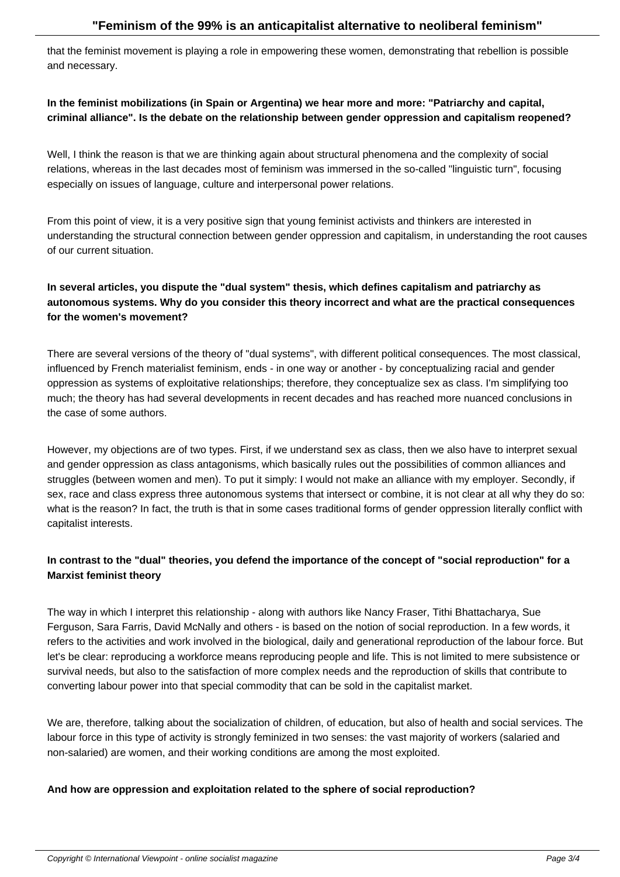that the feminist movement is playing a role in empowering these women, demonstrating that rebellion is possible and necessary.

## **In the feminist mobilizations (in Spain or Argentina) we hear more and more: "Patriarchy and capital, criminal alliance". Is the debate on the relationship between gender oppression and capitalism reopened?**

Well, I think the reason is that we are thinking again about structural phenomena and the complexity of social relations, whereas in the last decades most of feminism was immersed in the so-called "linguistic turn", focusing especially on issues of language, culture and interpersonal power relations.

From this point of view, it is a very positive sign that young feminist activists and thinkers are interested in understanding the structural connection between gender oppression and capitalism, in understanding the root causes of our current situation.

# **In several articles, you dispute the "dual system" thesis, which defines capitalism and patriarchy as autonomous systems. Why do you consider this theory incorrect and what are the practical consequences for the women's movement?**

There are several versions of the theory of "dual systems", with different political consequences. The most classical, influenced by French materialist feminism, ends - in one way or another - by conceptualizing racial and gender oppression as systems of exploitative relationships; therefore, they conceptualize sex as class. I'm simplifying too much; the theory has had several developments in recent decades and has reached more nuanced conclusions in the case of some authors.

However, my objections are of two types. First, if we understand sex as class, then we also have to interpret sexual and gender oppression as class antagonisms, which basically rules out the possibilities of common alliances and struggles (between women and men). To put it simply: I would not make an alliance with my employer. Secondly, if sex, race and class express three autonomous systems that intersect or combine, it is not clear at all why they do so: what is the reason? In fact, the truth is that in some cases traditional forms of gender oppression literally conflict with capitalist interests.

## **In contrast to the "dual" theories, you defend the importance of the concept of "social reproduction" for a Marxist feminist theory**

The way in which I interpret this relationship - along with authors like Nancy Fraser, Tithi Bhattacharya, Sue Ferguson, Sara Farris, David McNally and others - is based on the notion of social reproduction. In a few words, it refers to the activities and work involved in the biological, daily and generational reproduction of the labour force. But let's be clear: reproducing a workforce means reproducing people and life. This is not limited to mere subsistence or survival needs, but also to the satisfaction of more complex needs and the reproduction of skills that contribute to converting labour power into that special commodity that can be sold in the capitalist market.

We are, therefore, talking about the socialization of children, of education, but also of health and social services. The labour force in this type of activity is strongly feminized in two senses: the vast majority of workers (salaried and non-salaried) are women, and their working conditions are among the most exploited.

#### **And how are oppression and exploitation related to the sphere of social reproduction?**